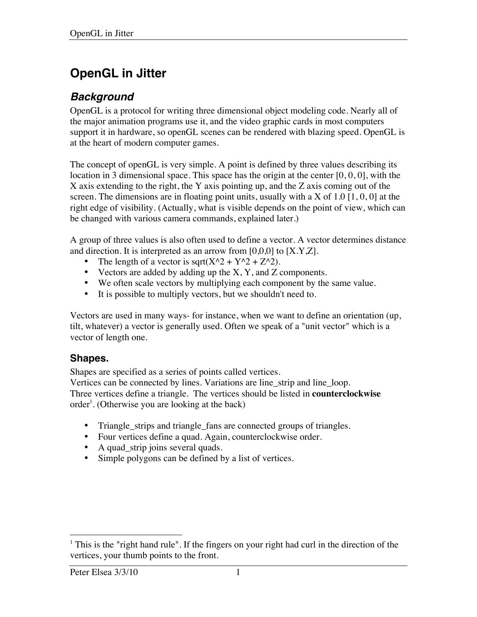# **OpenGL in Jitter**

# *Background*

OpenGL is a protocol for writing three dimensional object modeling code. Nearly all of the major animation programs use it, and the video graphic cards in most computers support it in hardware, so openGL scenes can be rendered with blazing speed. OpenGL is at the heart of modern computer games.

The concept of openGL is very simple. A point is defined by three values describing its location in 3 dimensional space. This space has the origin at the center [0, 0, 0], with the X axis extending to the right, the Y axis pointing up, and the Z axis coming out of the screen. The dimensions are in floating point units, usually with a X of 1.0  $[1, 0, 0]$  at the right edge of visibility. (Actually, what is visible depends on the point of view, which can be changed with various camera commands, explained later.)

A group of three values is also often used to define a vector. A vector determines distance and direction. It is interpreted as an arrow from  $[0,0,0]$  to  $[X.Y,Z]$ .

- The length of a vector is sqrt( $X^2 + Y^2 + Z^2$ ).
- Vectors are added by adding up the  $X$ ,  $Y$ , and  $Z$  components.
- We often scale vectors by multiplying each component by the same value.
- It is possible to multiply vectors, but we shouldn't need to.

Vectors are used in many ways- for instance, when we want to define an orientation (up, tilt, whatever) a vector is generally used. Often we speak of a "unit vector" which is a vector of length one.

### **Shapes.**

Shapes are specified as a series of points called vertices.

Vertices can be connected by lines. Variations are line\_strip and line\_loop. Three vertices define a triangle. The vertices should be listed in **counterclockwise** order<sup>1</sup>. (Otherwise you are looking at the back)

- Triangle\_strips and triangle\_fans are connected groups of triangles.
- Four vertices define a quad. Again, counterclockwise order.
- A quad\_strip joins several quads.
- Simple polygons can be defined by a list of vertices.

<sup>|&</sup>lt;br>|<br>|  $<sup>1</sup>$  This is the "right hand rule". If the fingers on your right had curl in the direction of the</sup> vertices, your thumb points to the front.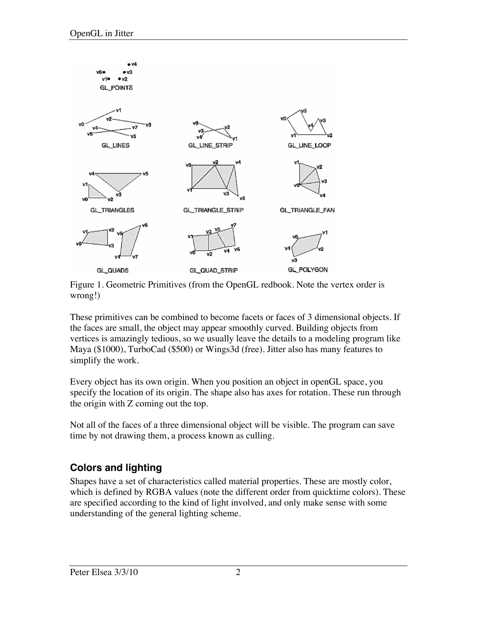

Figure 1. Geometric Primitives (from the OpenGL redbook. Note the vertex order is wrong!)

These primitives can be combined to become facets or faces of 3 dimensional objects. If the faces are small, the object may appear smoothly curved. Building objects from vertices is amazingly tedious, so we usually leave the details to a modeling program like Maya (\$1000), TurboCad (\$500) or Wings3d (free). Jitter also has many features to simplify the work.

Every object has its own origin. When you position an object in openGL space, you specify the location of its origin. The shape also has axes for rotation. These run through the origin with Z coming out the top.

Not all of the faces of a three dimensional object will be visible. The program can save time by not drawing them, a process known as culling.

# **Colors and lighting**

Shapes have a set of characteristics called material properties. These are mostly color, which is defined by RGBA values (note the different order from quicktime colors). These are specified according to the kind of light involved, and only make sense with some understanding of the general lighting scheme.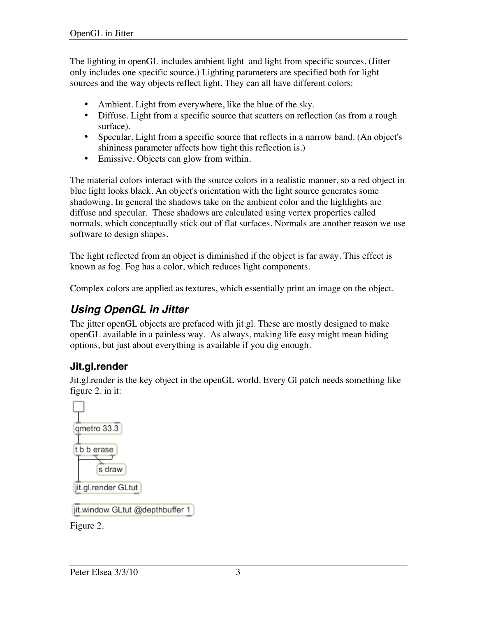The lighting in openGL includes ambient light and light from specific sources. (Jitter only includes one specific source.) Lighting parameters are specified both for light sources and the way objects reflect light. They can all have different colors:

- Ambient. Light from everywhere, like the blue of the sky.
- Diffuse. Light from a specific source that scatters on reflection (as from a rough surface).
- Specular. Light from a specific source that reflects in a narrow band. (An object's shininess parameter affects how tight this reflection is.)
- Emissive. Objects can glow from within.

The material colors interact with the source colors in a realistic manner, so a red object in blue light looks black. An object's orientation with the light source generates some shadowing. In general the shadows take on the ambient color and the highlights are diffuse and specular. These shadows are calculated using vertex properties called normals, which conceptually stick out of flat surfaces. Normals are another reason we use software to design shapes.

The light reflected from an object is diminished if the object is far away. This effect is known as fog. Fog has a color, which reduces light components.

Complex colors are applied as textures, which essentially print an image on the object.

# *Using OpenGL in Jitter*

The jitter openGL objects are prefaced with jit.gl. These are mostly designed to make openGL available in a painless way. As always, making life easy might mean hiding options, but just about everything is available if you dig enough.

# **Jit.gl.render**

Jit.gl.render is the key object in the openGL world. Every Gl patch needs something like figure 2. in it:



Figure 2.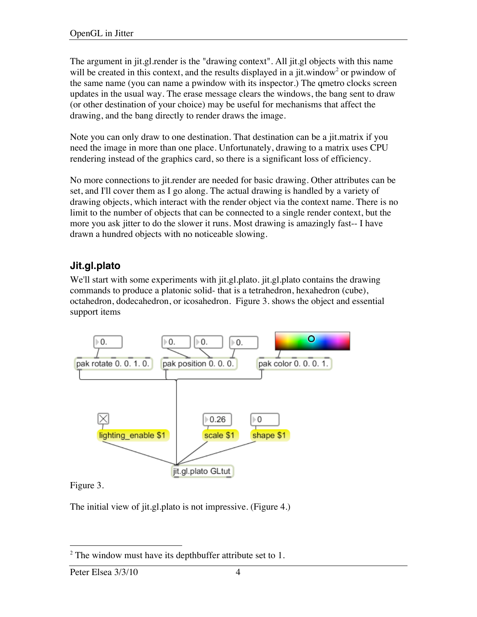The argument in jit.gl.render is the "drawing context". All jit.gl objects with this name will be created in this context, and the results displayed in a jit.window<sup>2</sup> or pwindow of the same name (you can name a pwindow with its inspector.) The qmetro clocks screen updates in the usual way. The erase message clears the windows, the bang sent to draw (or other destination of your choice) may be useful for mechanisms that affect the drawing, and the bang directly to render draws the image.

Note you can only draw to one destination. That destination can be a jit.matrix if you need the image in more than one place. Unfortunately, drawing to a matrix uses CPU rendering instead of the graphics card, so there is a significant loss of efficiency.

No more connections to jit.render are needed for basic drawing. Other attributes can be set, and I'll cover them as I go along. The actual drawing is handled by a variety of drawing objects, which interact with the render object via the context name. There is no limit to the number of objects that can be connected to a single render context, but the more you ask jitter to do the slower it runs. Most drawing is amazingly fast-- I have drawn a hundred objects with no noticeable slowing.

# **Jit.gl.plato**

We'll start with some experiments with jit.gl.plato. jit.gl.plato contains the drawing commands to produce a platonic solid- that is a tetrahedron, hexahedron (cube), octahedron, dodecahedron, or icosahedron. Figure 3. shows the object and essential support items



#### Figure 3.

The initial view of jit.gl.plato is not impressive. (Figure 4.)

 $\frac{1}{2}$  $2$  The window must have its depthbuffer attribute set to 1.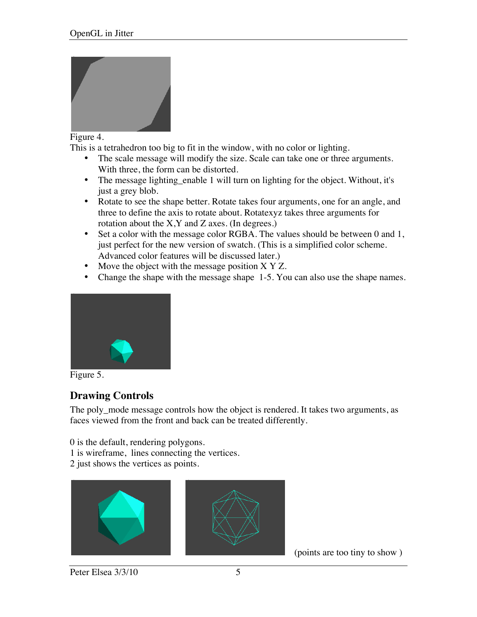

#### Figure 4.

This is a tetrahedron too big to fit in the window, with no color or lighting.

- The scale message will modify the size. Scale can take one or three arguments. With three, the form can be distorted.
- The message lighting enable 1 will turn on lighting for the object. Without, it's just a grey blob.
- Rotate to see the shape better. Rotate takes four arguments, one for an angle, and three to define the axis to rotate about. Rotatexyz takes three arguments for rotation about the  $X, Y$  and  $Z$  axes. (In degrees.)
- Set a color with the message color RGBA. The values should be between 0 and 1, just perfect for the new version of swatch. (This is a simplified color scheme. Advanced color features will be discussed later.)
- Move the object with the message position X Y Z.
- Change the shape with the message shape 1-5. You can also use the shape names.



Figure 5.

# **Drawing Controls**

The poly\_mode message controls how the object is rendered. It takes two arguments, as faces viewed from the front and back can be treated differently.

0 is the default, rendering polygons.

- 1 is wireframe, lines connecting the vertices.
- 2 just shows the vertices as points.





(points are too tiny to show )

Peter Elsea 3/3/10 5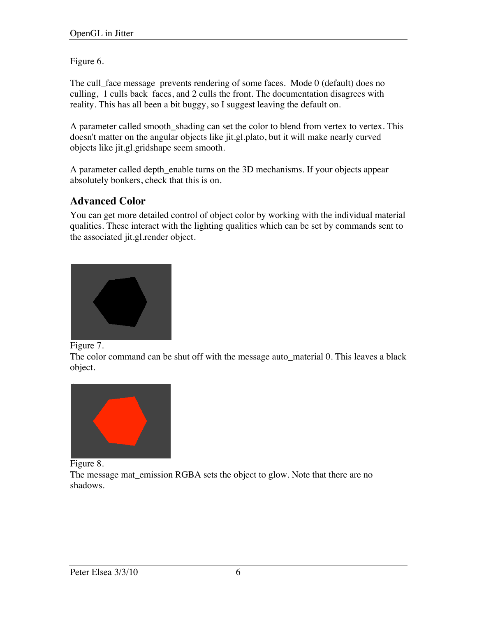Figure 6.

The cull\_face message prevents rendering of some faces. Mode 0 (default) does no culling, 1 culls back faces, and 2 culls the front. The documentation disagrees with reality. This has all been a bit buggy, so I suggest leaving the default on.

A parameter called smooth\_shading can set the color to blend from vertex to vertex. This doesn't matter on the angular objects like jit.gl.plato, but it will make nearly curved objects like jit.gl.gridshape seem smooth.

A parameter called depth\_enable turns on the 3D mechanisms. If your objects appear absolutely bonkers, check that this is on.

# **Advanced Color**

You can get more detailed control of object color by working with the individual material qualities. These interact with the lighting qualities which can be set by commands sent to the associated jit.gl.render object.



Figure 7.

The color command can be shut off with the message auto\_material 0. This leaves a black object.



Figure 8.

The message mat\_emission RGBA sets the object to glow. Note that there are no shadows.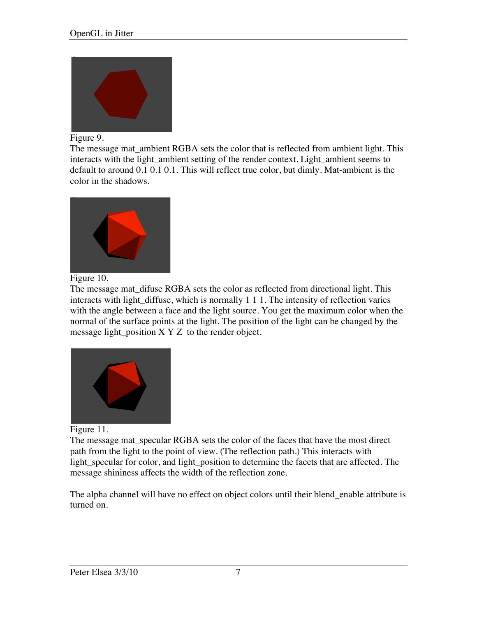

#### Figure 9.

The message mat\_ambient RGBA sets the color that is reflected from ambient light. This interacts with the light ambient setting of the render context. Light ambient seems to default to around 0.1 0.1 0.1. This will reflect true color, but dimly. Mat-ambient is the color in the shadows.



#### Figure 10.

The message mat\_difuse RGBA sets the color as reflected from directional light. This interacts with light\_diffuse, which is normally 1 1 1. The intensity of reflection varies with the angle between a face and the light source. You get the maximum color when the normal of the surface points at the light. The position of the light can be changed by the message light position  $X$  Y Z to the render object.



Figure 11.

The message mat\_specular RGBA sets the color of the faces that have the most direct path from the light to the point of view. (The reflection path.) This interacts with light\_specular for color, and light\_position to determine the facets that are affected. The message shininess affects the width of the reflection zone.

The alpha channel will have no effect on object colors until their blend\_enable attribute is turned on.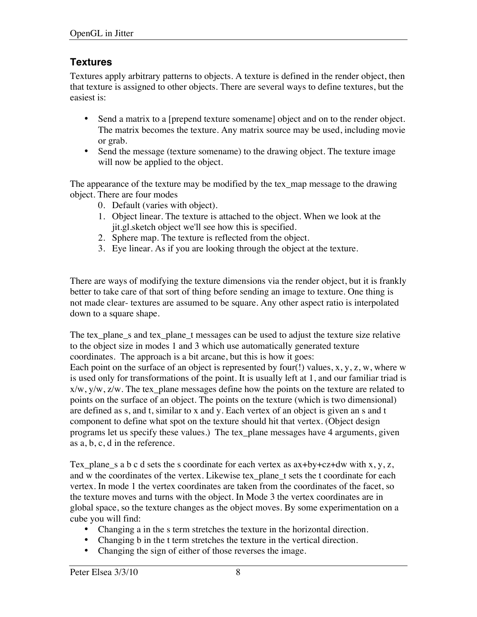# **Textures**

Textures apply arbitrary patterns to objects. A texture is defined in the render object, then that texture is assigned to other objects. There are several ways to define textures, but the easiest is:

- Send a matrix to a [prepend texture somename] object and on to the render object. The matrix becomes the texture. Any matrix source may be used, including movie or grab.
- Send the message (texture somename) to the drawing object. The texture image will now be applied to the object.

The appearance of the texture may be modified by the tex\_map message to the drawing object. There are four modes

- 0. Default (varies with object).
- 1. Object linear. The texture is attached to the object. When we look at the jit.gl.sketch object we'll see how this is specified.
- 2. Sphere map. The texture is reflected from the object.
- 3. Eye linear. As if you are looking through the object at the texture.

There are ways of modifying the texture dimensions via the render object, but it is frankly better to take care of that sort of thing before sending an image to texture. One thing is not made clear- textures are assumed to be square. Any other aspect ratio is interpolated down to a square shape.

The tex\_plane\_s and tex\_plane\_t messages can be used to adjust the texture size relative to the object size in modes 1 and 3 which use automatically generated texture coordinates. The approach is a bit arcane, but this is how it goes: Each point on the surface of an object is represented by four(!) values, x, y, z, w, where w is used only for transformations of the point. It is usually left at 1, and our familiar triad is x/w, y/w, z/w. The tex\_plane messages define how the points on the texture are related to points on the surface of an object. The points on the texture (which is two dimensional) are defined as s, and t, similar to x and y. Each vertex of an object is given an s and t component to define what spot on the texture should hit that vertex. (Object design programs let us specify these values.) The tex\_plane messages have 4 arguments, given as a, b, c, d in the reference.

Tex\_plane\_s a b c d sets the s coordinate for each vertex as  $ax+by+cz+dw$  with  $x, y, z$ , and w the coordinates of the vertex. Likewise tex\_plane\_t sets the t coordinate for each vertex. In mode 1 the vertex coordinates are taken from the coordinates of the facet, so the texture moves and turns with the object. In Mode 3 the vertex coordinates are in global space, so the texture changes as the object moves. By some experimentation on a cube you will find:

- Changing a in the s term stretches the texture in the horizontal direction.
- Changing b in the t term stretches the texture in the vertical direction.
- Changing the sign of either of those reverses the image.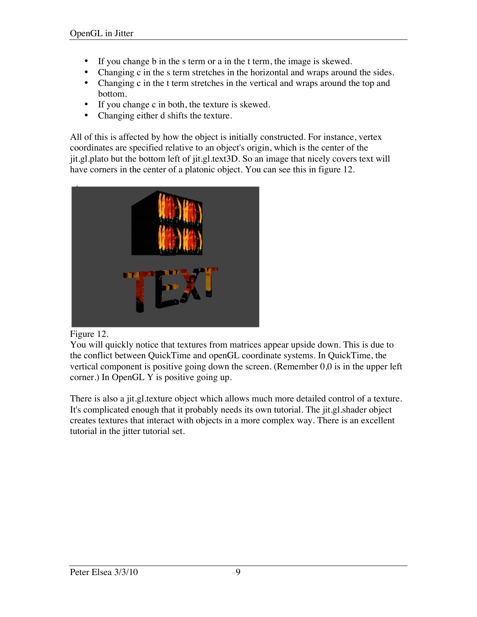- If you change b in the s term or a in the t term, the image is skewed.
- Changing c in the s term stretches in the horizontal and wraps around the sides.
- Changing c in the t term stretches in the vertical and wraps around the top and bottom.
- If you change c in both, the texture is skewed.
- Changing either d shifts the texture.

All of this is affected by how the object is initially constructed. For instance, vertex coordinates are specified relative to an object's origin, which is the center of the jit.gl.plato but the bottom left of jit.gl.text3D. So an image that nicely covers text will have corners in the center of a platonic object. You can see this in figure 12.





You will quickly notice that textures from matrices appear upside down. This is due to the conflict between QuickTime and openGL coordinate systems. In QuickTime, the vertical component is positive going down the screen. (Remember 0,0 is in the upper left corner.) In OpenGL Y is positive going up.

There is also a jit.gl.texture object which allows much more detailed control of a texture. It's complicated enough that it probably needs its own tutorial. The jit.gl.shader object creates textures that interact with objects in a more complex way. There is an excellent tutorial in the jitter tutorial set.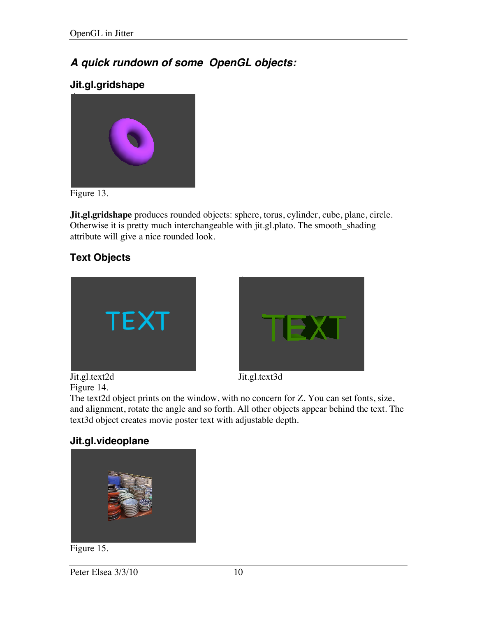# *A quick rundown of some OpenGL objects:*

# **Jit.gl.gridshape**



Figure 13.

**Jit.gl.gridshape** produces rounded objects: sphere, torus, cylinder, cube, plane, circle. Otherwise it is pretty much interchangeable with jit.gl.plato. The smooth\_shading attribute will give a nice rounded look.

# **Text Objects**





Jit.gl.text2d Jit.gl.text3d Figure 14.

The text2d object prints on the window, with no concern for Z. You can set fonts, size, and alignment, rotate the angle and so forth. All other objects appear behind the text. The text3d object creates movie poster text with adjustable depth.

# **Jit.gl.videoplane**



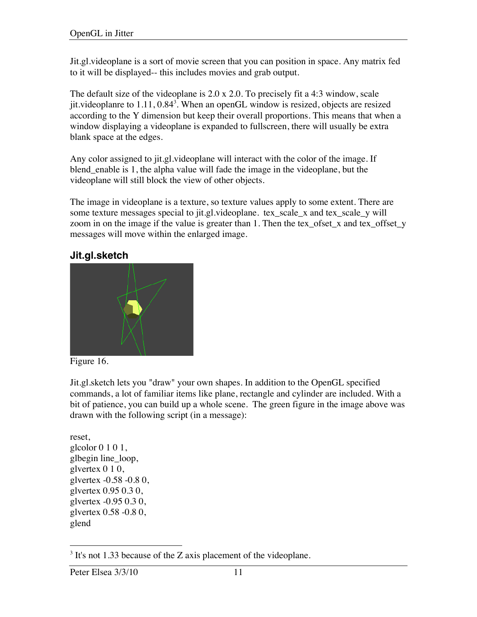Jit.gl.videoplane is a sort of movie screen that you can position in space. Any matrix fed to it will be displayed-- this includes movies and grab output.

The default size of the videoplane is 2.0 x 2.0. To precisely fit a 4:3 window, scale jit.videoplanre to  $1.11, 0.84<sup>3</sup>$ . When an openGL window is resized, objects are resized according to the Y dimension but keep their overall proportions. This means that when a window displaying a videoplane is expanded to fullscreen, there will usually be extra blank space at the edges.

Any color assigned to jit.gl.videoplane will interact with the color of the image. If blend\_enable is 1, the alpha value will fade the image in the videoplane, but the videoplane will still block the view of other objects.

The image in videoplane is a texture, so texture values apply to some extent. There are some texture messages special to jit.gl.videoplane. tex\_scale\_x and tex\_scale\_y will zoom in on the image if the value is greater than 1. Then the tex\_ofset\_x and tex\_offset\_y messages will move within the enlarged image.

### **Jit.gl.sketch**





Jit.gl.sketch lets you "draw" your own shapes. In addition to the OpenGL specified commands, a lot of familiar items like plane, rectangle and cylinder are included. With a bit of patience, you can build up a whole scene. The green figure in the image above was drawn with the following script (in a message):

reset, glcolor 0 1 0 1, glbegin line\_loop, glvertex 0 1 0, glvertex -0.58 -0.8 0, glvertex 0.95 0.3 0, glvertex -0.95 0.3 0, glvertex 0.58 -0.8 0, glend

 <sup>3</sup>  $3$  It's not 1.33 because of the Z axis placement of the videoplane.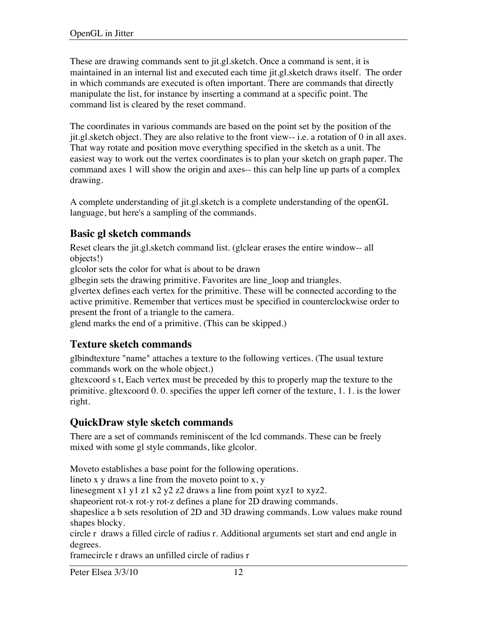These are drawing commands sent to jit.gl.sketch. Once a command is sent, it is maintained in an internal list and executed each time jit.gl.sketch draws itself. The order in which commands are executed is often important. There are commands that directly manipulate the list, for instance by inserting a command at a specific point. The command list is cleared by the reset command.

The coordinates in various commands are based on the point set by the position of the jit.gl.sketch object. They are also relative to the front view-- i.e. a rotation of 0 in all axes. That way rotate and position move everything specified in the sketch as a unit. The easiest way to work out the vertex coordinates is to plan your sketch on graph paper. The command axes 1 will show the origin and axes-- this can help line up parts of a complex drawing.

A complete understanding of jit.gl.sketch is a complete understanding of the openGL language, but here's a sampling of the commands.

### **Basic gl sketch commands**

Reset clears the jit.gl.sketch command list. (glclear erases the entire window-- all objects!)

glcolor sets the color for what is about to be drawn

glbegin sets the drawing primitive. Favorites are line\_loop and triangles.

glvertex defines each vertex for the primitive. These will be connected according to the active primitive. Remember that vertices must be specified in counterclockwise order to present the front of a triangle to the camera.

glend marks the end of a primitive. (This can be skipped.)

### **Texture sketch commands**

glbindtexture "name" attaches a texture to the following vertices. (The usual texture commands work on the whole object.)

gltexcoord s t, Each vertex must be preceded by this to properly map the texture to the primitive. gltexcoord 0. 0. specifies the upper left corner of the texture, 1. 1. is the lower right.

### **QuickDraw style sketch commands**

There are a set of commands reminiscent of the lcd commands. These can be freely mixed with some gl style commands, like glcolor.

Moveto establishes a base point for the following operations.

lineto x  $y$  draws a line from the moveto point to  $x, y$ 

linesegment x1 y1 z1 x2 y2 z2 draws a line from point xyz1 to xyz2.

shapeorient rot-x rot-y rot-z defines a plane for 2D drawing commands.

shapeslice a b sets resolution of 2D and 3D drawing commands. Low values make round shapes blocky.

circle r draws a filled circle of radius r. Additional arguments set start and end angle in degrees.

framecircle r draws an unfilled circle of radius r

Peter Elsea 3/3/10 12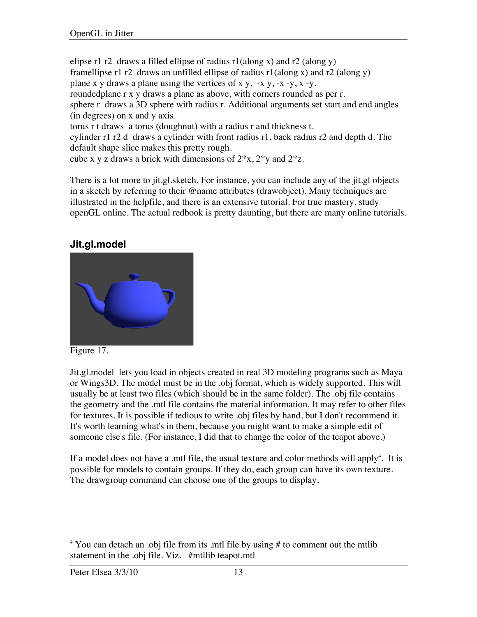elipse r1 r2 draws a filled ellipse of radius  $r1$ (along x) and r2 (along y) framellipse r1 r2 draws an unfilled ellipse of radius  $r1$ (along x) and r2 (along y) plane x y draws a plane using the vertices of x y,  $-x$  y,  $-x$  -y,  $x$  -y. roundedplane r x y draws a plane as above, with corners rounded as per r. sphere r draws a 3D sphere with radius r. Additional arguments set start and end angles (in degrees) on x and y axis. torus r t draws a torus (doughnut) with a radius r and thickness t. cylinder r1 r2 d draws a cylinder with front radius r1, back radius r2 and depth d. The default shape slice makes this pretty rough. cube x y z draws a brick with dimensions of  $2*x$ ,  $2*y$  and  $2*z$ .

There is a lot more to jit.gl.sketch. For instance, you can include any of the jit.gl objects in a sketch by referring to their @name attributes (drawobject). Many techniques are illustrated in the helpfile, and there is an extensive tutorial. For true mastery, study openGL online. The actual redbook is pretty daunting, but there are many online tutorials.

### **Jit.gl.model**



Figure 17.

Jit.gl.model lets you load in objects created in real 3D modeling programs such as Maya or Wings3D. The model must be in the .obj format, which is widely supported. This will usually be at least two files (which should be in the same folder). The .obj file contains the geometry and the .mtl file contains the material information. It may refer to other files for textures. It is possible if tedious to write .obj files by hand, but I don't recommend it. It's worth learning what's in them, because you might want to make a simple edit of someone else's file. (For instance, I did that to change the color of the teapot above.)

If a model does not have a .mtl file, the usual texture and color methods will apply<sup>4</sup>. It is possible for models to contain groups. If they do, each group can have its own texture. The drawgroup command can choose one of the groups to display.

 $\frac{1}{4}$ <sup>4</sup> You can detach an .obj file from its .mtl file by using  $#$  to comment out the mtlib statement in the .obj file. Viz. #mtllib teapot.mtl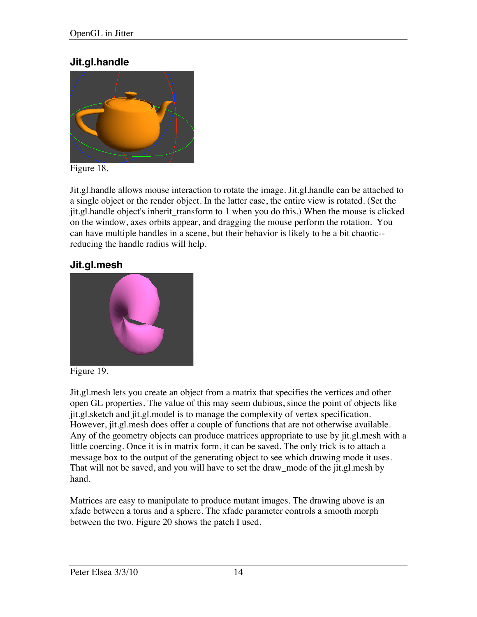### **Jit.gl.handle**



Figure 18.

Jit.gl.handle allows mouse interaction to rotate the image. Jit.gl.handle can be attached to a single object or the render object. In the latter case, the entire view is rotated. (Set the jit.gl.handle object's inherit\_transform to 1 when you do this.) When the mouse is clicked on the window, axes orbits appear, and dragging the mouse perform the rotation. You can have multiple handles in a scene, but their behavior is likely to be a bit chaotic- reducing the handle radius will help.

### **Jit.gl.mesh**



Figure 19.

Jit.gl.mesh lets you create an object from a matrix that specifies the vertices and other open GL properties. The value of this may seem dubious, since the point of objects like jit.gl.sketch and jit.gl.model is to manage the complexity of vertex specification. However, jit.gl.mesh does offer a couple of functions that are not otherwise available. Any of the geometry objects can produce matrices appropriate to use by jit.gl.mesh with a little coercing. Once it is in matrix form, it can be saved. The only trick is to attach a message box to the output of the generating object to see which drawing mode it uses. That will not be saved, and you will have to set the draw\_mode of the jit.gl.mesh by hand.

Matrices are easy to manipulate to produce mutant images. The drawing above is an xfade between a torus and a sphere. The xfade parameter controls a smooth morph between the two. Figure 20 shows the patch I used.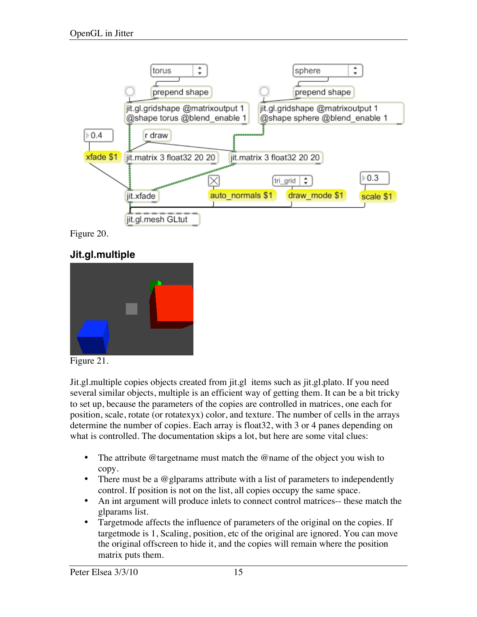

Figure 20.

### **Jit.gl.multiple**





Jit.gl.multiple copies objects created from jit.gl items such as jit.gl.plato. If you need several similar objects, multiple is an efficient way of getting them. It can be a bit tricky to set up, because the parameters of the copies are controlled in matrices, one each for position, scale, rotate (or rotatexyx) color, and texture. The number of cells in the arrays determine the number of copies. Each array is float32, with 3 or 4 panes depending on what is controlled. The documentation skips a lot, but here are some vital clues:

- The attribute @targetname must match the @name of the object you wish to copy.
- There must be a @glparams attribute with a list of parameters to independently control. If position is not on the list, all copies occupy the same space.
- An int argument will produce inlets to connect control matrices-- these match the glparams list.
- Targetmode affects the influence of parameters of the original on the copies. If targetmode is 1, Scaling, position, etc of the original are ignored. You can move the original offscreen to hide it, and the copies will remain where the position matrix puts them.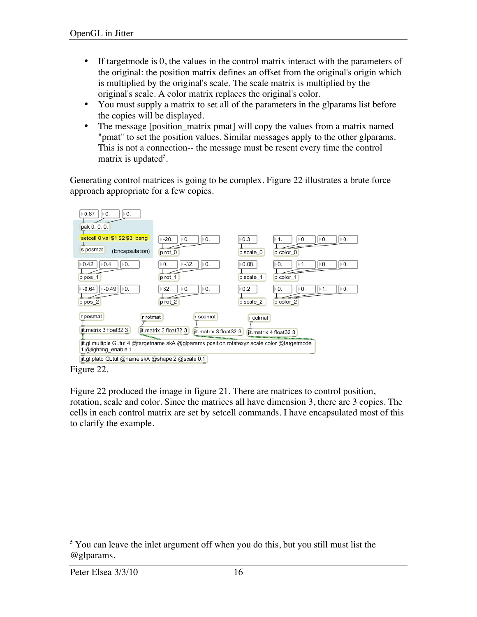- If target mode is 0, the values in the control matrix interact with the parameters of the original: the position matrix defines an offset from the original's origin which is multiplied by the original's scale. The scale matrix is multiplied by the original's scale. A color matrix replaces the original's color.
- You must supply a matrix to set all of the parameters in the glparams list before the copies will be displayed.
- The message [position\_matrix pmat] will copy the values from a matrix named "pmat" to set the position values. Similar messages apply to the other glparams. This is not a connection-- the message must be resent every time the control matrix is updated<sup>5</sup>.

Generating control matrices is going to be complex. Figure 22 illustrates a brute force approach appropriate for a few copies.



Figure 22.

Figure 22 produced the image in figure 21. There are matrices to control position, rotation, scale and color. Since the matrices all have dimension 3, there are 3 copies. The cells in each control matrix are set by setcell commands. I have encapsulated most of this to clarify the example.

 <sup>5</sup> <sup>5</sup> You can leave the inlet argument off when you do this, but you still must list the @glparams.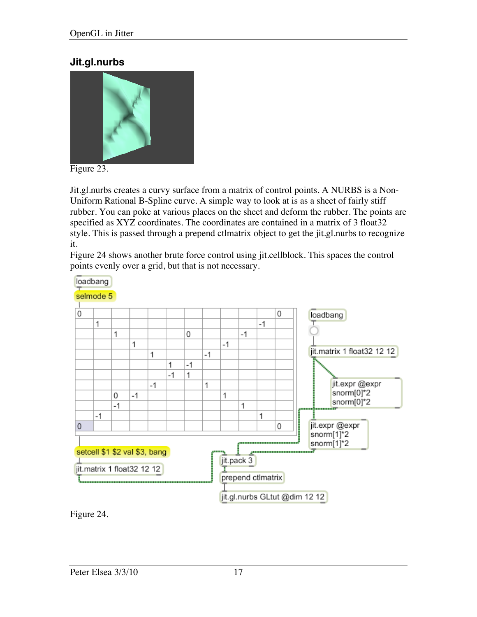#### **Jit.gl.nurbs**



Figure 23.

Jit.gl.nurbs creates a curvy surface from a matrix of control points. A NURBS is a Non-Uniform Rational B-Spline curve. A simple way to look at is as a sheet of fairly stiff rubber. You can poke at various places on the sheet and deform the rubber. The points are specified as XYZ coordinates. The coordinates are contained in a matrix of 3 float32 style. This is passed through a prepend ctlmatrix object to get the jit.gl.nurbs to recognize it.

Figure 24 shows another brute force control using jit.cellblock. This spaces the control points evenly over a grid, but that is not necessary.



Figure 24.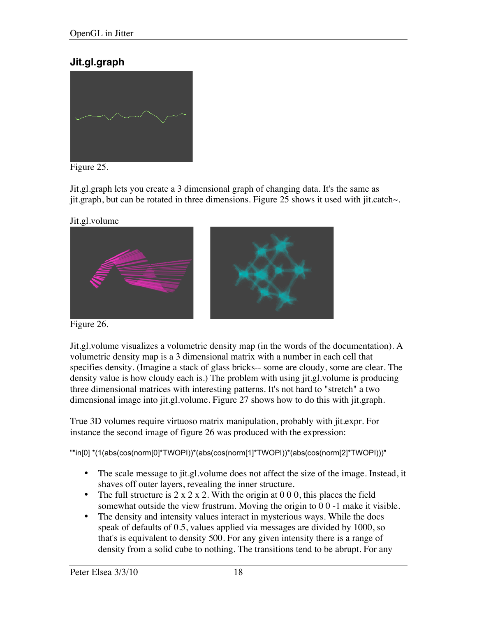### **Jit.gl.graph**



Figure 25.

Jit.gl.graph lets you create a 3 dimensional graph of changing data. It's the same as jit.graph, but can be rotated in three dimensions. Figure 25 shows it used with jit.catch~.





Figure 26.

Jit.gl.volume visualizes a volumetric density map (in the words of the documentation). A volumetric density map is a 3 dimensional matrix with a number in each cell that specifies density. (Imagine a stack of glass bricks-- some are cloudy, some are clear. The density value is how cloudy each is.) The problem with using jit.gl.volume is producing three dimensional matrices with interesting patterns. It's not hard to "stretch" a two dimensional image into jit.gl.volume. Figure 27 shows how to do this with jit.graph.

True 3D volumes require virtuoso matrix manipulation, probably with jit.expr. For instance the second image of figure 26 was produced with the expression:

""in[0] \*(1(abs(cos(norm[0]\*TWOPI))\*(abs(cos(norm[1]\*TWOPI))\*(abs(cos(norm[2]\*TWOPI)))"

- The scale message to jit.gl.volume does not affect the size of the image. Instead, it shaves off outer layers, revealing the inner structure.
- The full structure is  $2 \times 2 \times 2$ . With the origin at 0 0 0, this places the field somewhat outside the view frustrum. Moving the origin to 0 0 -1 make it visible.
- The density and intensity values interact in mysterious ways. While the docs speak of defaults of 0.5, values applied via messages are divided by 1000, so that's is equivalent to density 500. For any given intensity there is a range of density from a solid cube to nothing. The transitions tend to be abrupt. For any